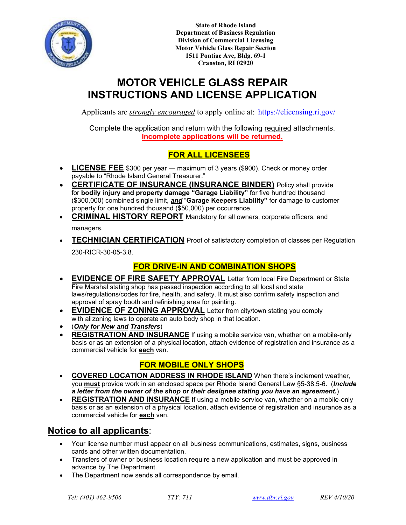

**State of Rhode Island Department of Business Regulation Division of Commercial Licensing Motor Vehicle Glass Repair Section 1511 Pontiac Ave, Bldg. 69-1 Cranston, RI 02920**

# **MOTOR VEHICLE GLASS REPAIR INSTRUCTIONS AND LICENSE A[PPLICATION](https://elicensing.ri.gov/)**

Applicants are *strongly encouraged* to apply online at: https://elicensing.ri.gov/

Complete the application and return with the following required attachments. **Incomplete applications will be returned.**

## **FOR ALL LICENSEES**

- **LICENSE FEE** \$300 per year maximum of 3 years (\$900). Check or money order payable to "Rhode Island General Treasurer."
- **CERTIFICATE OF INSURANCE (INSURANCE BINDER)** Policy shall provide for **bodily injury and property damage "Garage Liability"** for five hundred thousand (\$300,000) combined single limit, *and* "**Garage Keepers Liability"** for damage to customer property for one hundred thousand (\$50,000) per occurrence.
- **CRIMINAL HISTORY REPORT** Mandatory for all owners, corporate officers, and managers.
- **TECHNICIAN CERTIFICATION** Proof of satisfactory completion of classes per Regulation 230-RICR-30-05-3.8.

### **FOR DRIVE-IN AND COMBINATION SHOPS**

- **EVIDENCE OF FIRE SAFETY APPROVAL** Letter from local Fire Department or State Fire Marshal stating shop has passed inspection according to all local and state laws/regulations/codes for fire, health, and safety. It must also confirm safety inspection and approval of spray booth and refinishing area for painting.
- **EVIDENCE OF ZONING APPROVAL** Letter from city/town stating you comply with allzoning laws to operate an auto body shop in that location.
- (*Only for New and Transfers*)
- **REGISTRATION AND INSURANCE** If using a mobile service van, whether on a mobile-only basis or as an extension of a physical location, attach evidence of registration and insurance as a commercial vehicle for **each** van.

### **FOR MOBILE ONLY SHOPS**

- **COVERED LOCATION ADDRESS IN RHODE ISLAND** When there's inclement weather, you **must** provide work in an enclosed space per Rhode Island General Law §5-38.5-6. (*Include a letter from the owner of the shop or their designee stating you have an agreement.*)
- **REGISTRATION AND INSURANCE** If using a mobile service van, whether on a mobile-only basis or as an extension of a physical location, attach evidence of registration and insurance as a commercial vehicle for **each** van.

## **Notice to all applicants**:

- Your license number must appear on all business communications, estimates, signs, business cards and other written documentation.
- Transfers of owner or business location require a new application and must be approved in advance by The Department.
- The Department now sends all correspondence by email.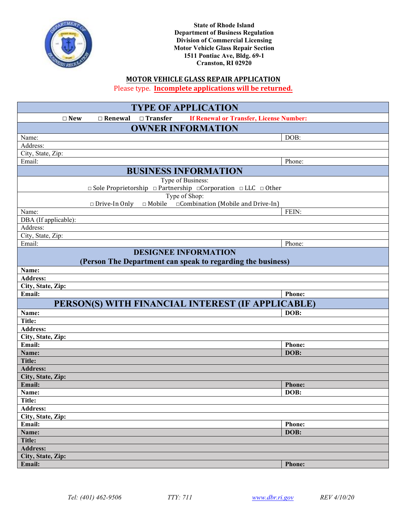

| Type of Shop:                                               |                                     |
|-------------------------------------------------------------|-------------------------------------|
| $\Box$ Drive-In Only $\Box$ Mobile                          | □ Combination (Mobile and Drive-In) |
| Name:                                                       | FEIN:                               |
| DBA (If applicable):                                        |                                     |
| Address:                                                    |                                     |
| City, State, Zip:                                           |                                     |
| Email:                                                      | Phone:                              |
| <b>DESIGNEE INFORMATION</b>                                 |                                     |
| (Person The Department can speak to regarding the business) |                                     |
| Name:                                                       |                                     |
| <b>Address:</b>                                             |                                     |
| City, State, Zip:                                           |                                     |
| Email:                                                      | Phone:                              |
| PERSON(S) WITH FINANCIAL INTEREST (IF APPLICABLE)           |                                     |
| Name:                                                       | DOB:                                |
| Title:                                                      |                                     |
| <b>Address:</b>                                             |                                     |
| City, State, Zip:                                           |                                     |
| Email:                                                      | Phone:                              |
| Name:                                                       | DOB:                                |
| <b>Title:</b>                                               |                                     |
| <b>Address:</b>                                             |                                     |
| City, State, Zip:                                           |                                     |
| Email:                                                      | <b>Phone:</b>                       |
| Name:                                                       | DOB:                                |
| Title:                                                      |                                     |
| <b>Address:</b>                                             |                                     |
| City, State, Zip:                                           |                                     |
| Email:                                                      | Phone:                              |
| Name:                                                       | DOB:                                |
| <b>Title:</b>                                               |                                     |
| <b>Address:</b>                                             |                                     |
| City, State, Zip:                                           |                                     |
| Email:                                                      | <b>Phone:</b>                       |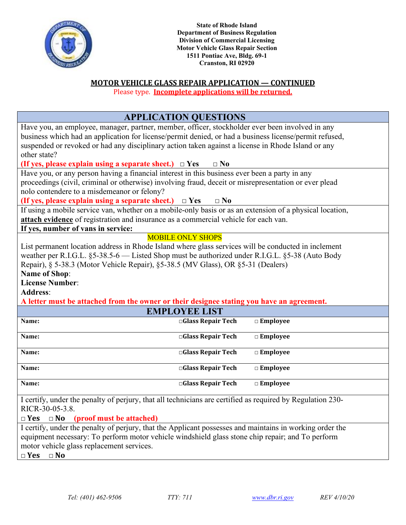

**State of Rhode Island Department of Business Regulation Division of Commercial Licensing Motor Vehicle Glass Repair Section 1511 Pontiac Ave, Bldg. 69-1 Cranston, RI 02920**

### **MOTOR VEHICLE GLASS REPAIR APPLICATION — CONTINUED**

Please type. **Incomplete applications will be returned.**

|                                                                                                                                                                                                              | <b>APPLICATION QUESTIONS</b> |                    |
|--------------------------------------------------------------------------------------------------------------------------------------------------------------------------------------------------------------|------------------------------|--------------------|
| Have you, an employee, manager, partner, member, officer, stockholder ever been involved in any                                                                                                              |                              |                    |
| business which had an application for license/permit denied, or had a business license/permit refused,<br>suspended or revoked or had any disciplinary action taken against a license in Rhode Island or any |                              |                    |
| other state?                                                                                                                                                                                                 |                              |                    |
| (If yes, please explain using a separate sheet.) $\Box$ Yes                                                                                                                                                  | $\square$ No                 |                    |
| Have you, or any person having a financial interest in this business ever been a party in any                                                                                                                |                              |                    |
| proceedings (civil, criminal or otherwise) involving fraud, deceit or misrepresentation or ever plead<br>nolo contendere to a misdemeanor or felony?                                                         |                              |                    |
| (If yes, please explain using a separate sheet.) $\Box$ Yes                                                                                                                                                  | $\square$ No                 |                    |
| If using a mobile service van, whether on a mobile-only basis or as an extension of a physical location,                                                                                                     |                              |                    |
| attach evidence of registration and insurance as a commercial vehicle for each van.                                                                                                                          |                              |                    |
| If yes, number of vans in service:                                                                                                                                                                           |                              |                    |
|                                                                                                                                                                                                              | <b>MOBILE ONLY SHOPS</b>     |                    |
| List permanent location address in Rhode Island where glass services will be conducted in inclement                                                                                                          |                              |                    |
| weather per R.I.G.L. §5-38.5-6 — Listed Shop must be authorized under R.I.G.L. §5-38 (Auto Body                                                                                                              |                              |                    |
| Repair), § 5-38.3 (Motor Vehicle Repair), §5-38.5 (MV Glass), OR §5-31 (Dealers)                                                                                                                             |                              |                    |
| <b>Name of Shop:</b>                                                                                                                                                                                         |                              |                    |
| <b>License Number:</b>                                                                                                                                                                                       |                              |                    |
| <b>Address:</b>                                                                                                                                                                                              |                              |                    |
| A letter must be attached from the owner or their designee stating you have an agreement.                                                                                                                    |                              |                    |
|                                                                                                                                                                                                              | <b>EMPLOYEE LIST</b>         |                    |
| Name:                                                                                                                                                                                                        | □Glass Repair Tech           | $\Box$ Employee    |
| Name:                                                                                                                                                                                                        | Glass Repair Tech            | $\square$ Employee |
| Name:                                                                                                                                                                                                        | □Glass Repair Tech           | $\square$ Employee |
| Name:                                                                                                                                                                                                        | □Glass Repair Tech           | $\square$ Employee |
| Name:                                                                                                                                                                                                        | □Glass Repair Tech           | $\square$ Employee |
| I certify, under the penalty of perjury, that all technicians are certified as required by Regulation 230-                                                                                                   |                              |                    |
| RICR-30-05-3.8.                                                                                                                                                                                              |                              |                    |
| $\Box$ Yes $\Box$ No<br>(proof must be attached)                                                                                                                                                             |                              |                    |
| I certify, under the penalty of perjury, that the Applicant possesses and maintains in working order the                                                                                                     |                              |                    |
| equipment necessary: To perform motor vehicle windshield glass stone chip repair; and To perform                                                                                                             |                              |                    |
| motor vehicle glass replacement services.                                                                                                                                                                    |                              |                    |
| $\Box$ Yes $\Box$ No                                                                                                                                                                                         |                              |                    |